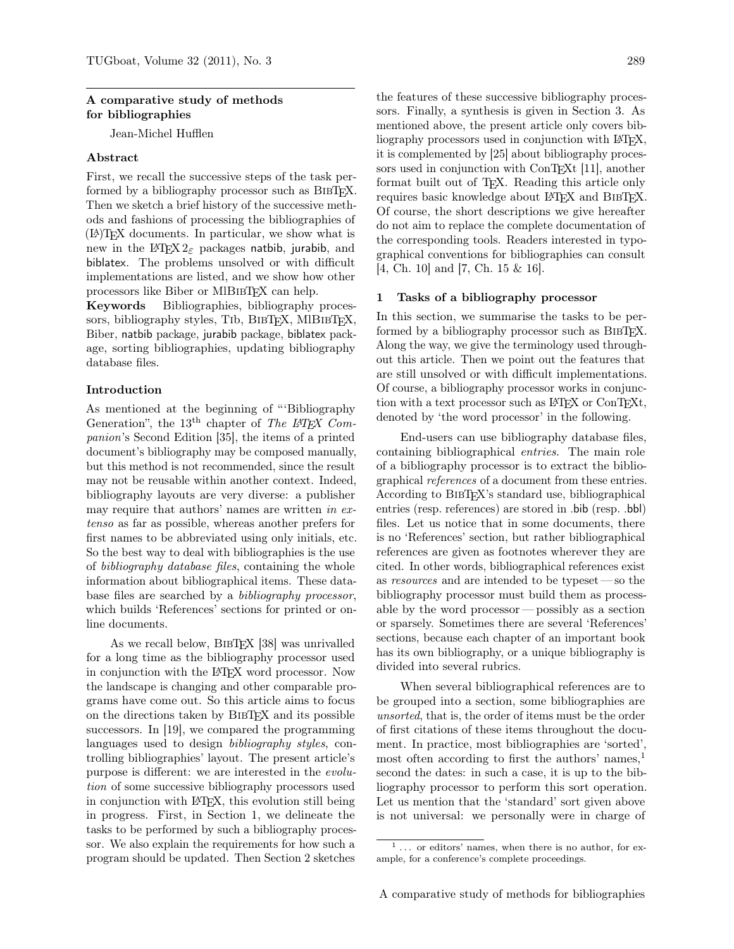## A comparative study of methods for bibliographies

Jean-Michel Hufflen

## Abstract

First, we recall the successive steps of the task performed by a bibliography processor such as BIBTEX. Then we sketch a brief history of the successive methods and fashions of processing the bibliographies of (LA)TEX documents. In particular, we show what is new in the  $\mathbb{M}E[X2_{\varepsilon}]$  packages natbib, jurabib, and biblatex. The problems unsolved or with difficult implementations are listed, and we show how other processors like Biber or MIBIBTEX can help.

Keywords Bibliographies, bibliography processors, bibliography styles, T<sub>I</sub>b, B<sub>IBTEX</sub>, MIB<sub>IBTEX</sub>, Biber, natbib package, jurabib package, biblatex package, sorting bibliographies, updating bibliography database files.

## Introduction

As mentioned at the beginning of "'Bibliography Generation", the 13<sup>th</sup> chapter of *The L<sup>AT</sup>FX Com*panion's Second Edition [35], the items of a printed document's bibliography may be composed manually, but this method is not recommended, since the result may not be reusable within another context. Indeed, bibliography layouts are very diverse: a publisher may require that authors' names are written in extenso as far as possible, whereas another prefers for first names to be abbreviated using only initials, etc. So the best way to deal with bibliographies is the use of bibliography database files, containing the whole information about bibliographical items. These database files are searched by a bibliography processor, which builds 'References' sections for printed or online documents.

As we recall below, BIBTEX [38] was unrivalled for a long time as the bibliography processor used in conjunction with the IAT<sub>EX</sub> word processor. Now the landscape is changing and other comparable programs have come out. So this article aims to focus on the directions taken by BibTEX and its possible successors. In [19], we compared the programming languages used to design bibliography styles, controlling bibliographies' layout. The present article's purpose is different: we are interested in the evolution of some successive bibliography processors used in conjunction with LATEX, this evolution still being in progress. First, in Section 1, we delineate the tasks to be performed by such a bibliography processor. We also explain the requirements for how such a program should be updated. Then Section 2 sketches

the features of these successive bibliography processors. Finally, a synthesis is given in Section 3. As mentioned above, the present article only covers bibliography processors used in conjunction with LAT<sub>EX</sub>. it is complemented by [25] about bibliography processors used in conjunction with ConT<sub>EXt</sub> [11], another format built out of TEX. Reading this article only requires basic knowledge about LATEX and BibTEX. Of course, the short descriptions we give hereafter do not aim to replace the complete documentation of the corresponding tools. Readers interested in typographical conventions for bibliographies can consult [4, Ch. 10] and [7, Ch. 15 & 16].

## 1 Tasks of a bibliography processor

In this section, we summarise the tasks to be performed by a bibliography processor such as BIBT<sub>EX</sub>. Along the way, we give the terminology used throughout this article. Then we point out the features that are still unsolved or with difficult implementations. Of course, a bibliography processor works in conjunction with a text processor such as LAT<sub>EX</sub> or ConTEXt, denoted by 'the word processor' in the following.

End-users can use bibliography database files, containing bibliographical entries. The main role of a bibliography processor is to extract the bibliographical references of a document from these entries. According to BibTEX's standard use, bibliographical entries (resp. references) are stored in .bib (resp. .bbl) files. Let us notice that in some documents, there is no 'References' section, but rather bibliographical references are given as footnotes wherever they are cited. In other words, bibliographical references exist as resources and are intended to be typeset — so the bibliography processor must build them as processable by the word processor— possibly as a section or sparsely. Sometimes there are several 'References' sections, because each chapter of an important book has its own bibliography, or a unique bibliography is divided into several rubrics.

When several bibliographical references are to be grouped into a section, some bibliographies are unsorted, that is, the order of items must be the order of first citations of these items throughout the document. In practice, most bibliographies are 'sorted', most often according to first the authors' names, $<sup>1</sup>$ </sup> second the dates: in such a case, it is up to the bibliography processor to perform this sort operation. Let us mention that the 'standard' sort given above is not universal: we personally were in charge of

 $\frac{1}{1}$ ... or editors' names, when there is no author, for example, for a conference's complete proceedings.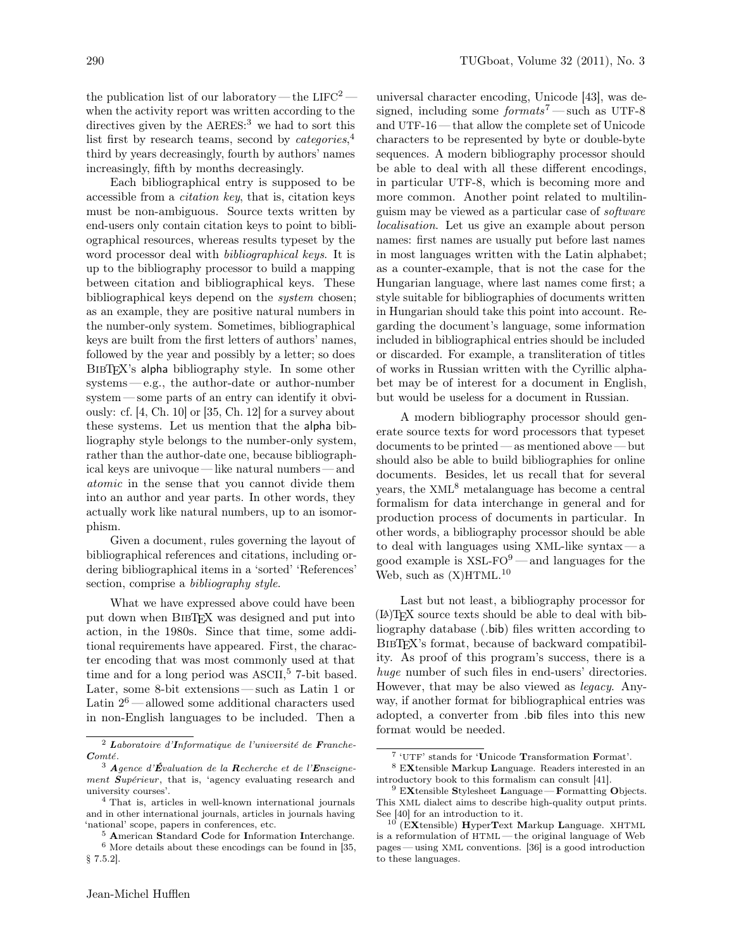the publication list of our laboratory — the  $LIFC<sup>2</sup>$  when the activity report was written according to the directives given by the AERES:<sup>3</sup> we had to sort this list first by research teams, second by *categories*,<sup>4</sup> third by years decreasingly, fourth by authors' names increasingly, fifth by months decreasingly.

Each bibliographical entry is supposed to be accessible from a citation key, that is, citation keys must be non-ambiguous. Source texts written by end-users only contain citation keys to point to bibliographical resources, whereas results typeset by the word processor deal with bibliographical keys. It is up to the bibliography processor to build a mapping between citation and bibliographical keys. These bibliographical keys depend on the system chosen; as an example, they are positive natural numbers in the number-only system. Sometimes, bibliographical keys are built from the first letters of authors' names, followed by the year and possibly by a letter; so does BIBTEX's alpha bibliography style. In some other systems— e.g., the author-date or author-number system — some parts of an entry can identify it obviously: cf. [4, Ch. 10] or [35, Ch. 12] for a survey about these systems. Let us mention that the alpha bibliography style belongs to the number-only system, rather than the author-date one, because bibliographical keys are univoque — like natural numbers — and atomic in the sense that you cannot divide them into an author and year parts. In other words, they actually work like natural numbers, up to an isomorphism.

Given a document, rules governing the layout of bibliographical references and citations, including ordering bibliographical items in a 'sorted' 'References' section, comprise a *bibliography style*.

What we have expressed above could have been put down when BIBTFX was designed and put into action, in the 1980s. Since that time, some additional requirements have appeared. First, the character encoding that was most commonly used at that time and for a long period was ASCII, <sup>5</sup> 7-bit based. Later, some 8-bit extensions— such as Latin 1 or Latin  $2^6$  — allowed some additional characters used in non-English languages to be included. Then a

universal character encoding, Unicode [43], was designed, including some formats<sup>7</sup> — such as UTF-8 and UTF-16 — that allow the complete set of Unicode characters to be represented by byte or double-byte sequences. A modern bibliography processor should be able to deal with all these different encodings, in particular UTF-8, which is becoming more and more common. Another point related to multilinguism may be viewed as a particular case of software localisation. Let us give an example about person names: first names are usually put before last names in most languages written with the Latin alphabet; as a counter-example, that is not the case for the Hungarian language, where last names come first; a style suitable for bibliographies of documents written in Hungarian should take this point into account. Regarding the document's language, some information included in bibliographical entries should be included or discarded. For example, a transliteration of titles of works in Russian written with the Cyrillic alphabet may be of interest for a document in English, but would be useless for a document in Russian.

A modern bibliography processor should generate source texts for word processors that typeset documents to be printed — as mentioned above — but should also be able to build bibliographies for online documents. Besides, let us recall that for several years, the  $XML<sup>8</sup>$  metalanguage has become a central formalism for data interchange in general and for production process of documents in particular. In other words, a bibliography processor should be able to deal with languages using XML-like syntax— a good example is  $XSL-FO^9$  — and languages for the Web, such as  $(X)$ HTML.<sup>10</sup>

Last but not least, a bibliography processor for (LA)TEX source texts should be able to deal with bibliography database (.bib) files written according to BIBT<sub>EX</sub>'s format, because of backward compatibility. As proof of this program's success, there is a huge number of such files in end-users' directories. However, that may be also viewed as legacy. Anyway, if another format for bibliographical entries was adopted, a converter from .bib files into this new format would be needed.

<sup>2</sup> Laboratoire d'Informatique de l'université de Franche-Comté.

 $3$  Agence d'Évaluation de la Recherche et de l'Enseignement Supérieur, that is, 'agency evaluating research and university courses'.

<sup>4</sup> That is, articles in well-known international journals and in other international journals, articles in journals having 'national' scope, papers in conferences, etc.

<sup>5</sup> American Standard Code for Information Interchange.  $^6$  More details about these encodings can be found in [35,  $\,$ § 7.5.2].

<sup>7</sup> 'UTF' stands for 'Unicode Transformation Format'.

<sup>8</sup> EXtensible Markup Language. Readers interested in an introductory book to this formalism can consult [41].

 $9$  EXtensible Stylesheet Language — Formatting Objects. This XML dialect aims to describe high-quality output prints. See [40] for an introduction to it.

 $10$  (EXtensible) HyperText Markup Language. XHTML is a reformulation of HTML— the original language of Web pages— using XML conventions. [36] is a good introduction to these languages.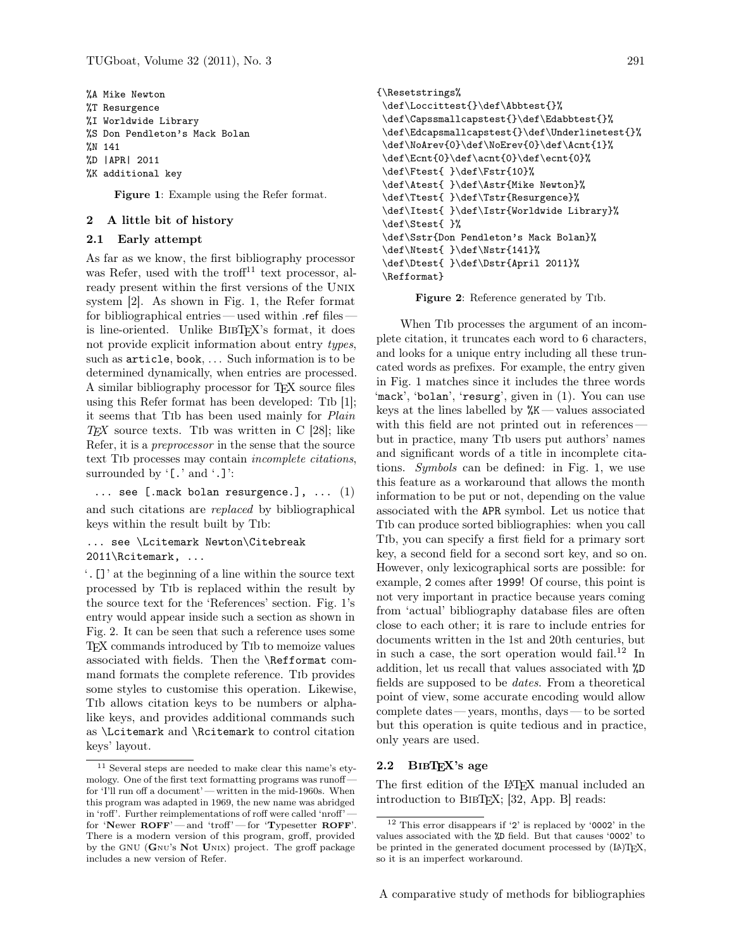%A Mike Newton %T Resurgence %I Worldwide Library %S Don Pendleton's Mack Bolan %N 141 %D |APR| 2011 %K additional key

Figure 1: Example using the Refer format.

### 2 A little bit of history

#### 2.1 Early attempt

As far as we know, the first bibliography processor was Refer, used with the troff<sup>11</sup> text processor, already present within the first versions of the Unix system [2]. As shown in Fig. 1, the Refer format for bibliographical entries—used within ref filesis line-oriented. Unlike BibTEX's format, it does not provide explicit information about entry types, such as article, book, ... Such information is to be determined dynamically, when entries are processed. A similar bibliography processor for TFX source files using this Refer format has been developed: Tib [1]; it seems that Tib has been used mainly for Plain  $TEX$  source texts. The was written in C [28]; like Refer, it is a preprocessor in the sense that the source text Tib processes may contain incomplete citations, surrounded by '[.' and '.]':

 $\ldots$  see [.mack bolan resurgence.],  $\ldots$  (1) and such citations are replaced by bibliographical keys within the result built by Tib:

... see \Lcitemark Newton\Citebreak 2011\Rcitemark, ...

'.[]' at the beginning of a line within the source text processed by Tib is replaced within the result by the source text for the 'References' section. Fig. 1's entry would appear inside such a section as shown in Fig. 2. It can be seen that such a reference uses some TEX commands introduced by Tib to memoize values associated with fields. Then the \Refformat command formats the complete reference. Tib provides some styles to customise this operation. Likewise, Tib allows citation keys to be numbers or alphalike keys, and provides additional commands such as \Lcitemark and \Rcitemark to control citation keys' layout.

```
{\Resetstrings%
\def\Loccittest{}\def\Abbtest{}%
\def\Capssmallcapstest{}\def\Edabbtest{}%
\def\Edcapsmallcapstest{}\def\Underlinetest{}%
\def\NoArev{0}\def\NoErev{0}\def\Acnt{1}%
\def\Ecnt{0}\def\acnt{0}\def\ecnt{0}%
\def\Ftest{ }\def\Fstr{10}%
\def\Atest{ }\def\Astr{Mike Newton}%
\def\Ttest{ }\def\Tstr{Resurgence}%
\def\Itest{ }\def\Istr{Worldwide Library}%
\def\Stest{ }%
\def\Sstr{Don Pendleton's Mack Bolan}%
\def\Ntest{ }\def\Nstr{141}%
\def\Dtest{ }\def\Dstr{April 2011}%
\Refformat}
```
Figure 2: Reference generated by Tib.

When Tib processes the argument of an incomplete citation, it truncates each word to 6 characters, and looks for a unique entry including all these truncated words as prefixes. For example, the entry given in Fig. 1 matches since it includes the three words 'mack', 'bolan', 'resurg', given in (1). You can use keys at the lines labelled by  $\frac{M}{K}$  — values associated with this field are not printed out in references but in practice, many Tib users put authors' names and significant words of a title in incomplete citations. Symbols can be defined: in Fig. 1, we use this feature as a workaround that allows the month information to be put or not, depending on the value associated with the APR symbol. Let us notice that Tib can produce sorted bibliographies: when you call Tib, you can specify a first field for a primary sort key, a second field for a second sort key, and so on. However, only lexicographical sorts are possible: for example, 2 comes after 1999! Of course, this point is not very important in practice because years coming from 'actual' bibliography database files are often close to each other; it is rare to include entries for documents written in the 1st and 20th centuries, but in such a case, the sort operation would fail.<sup>12</sup> In addition, let us recall that values associated with %D fields are supposed to be dates. From a theoretical point of view, some accurate encoding would allow complete dates — years, months, days — to be sorted but this operation is quite tedious and in practice, only years are used.

# 2.2 BibTEX's age

The first edition of the L<sup>AT</sup>EX manual included an introduction to BIBT<sub>EX</sub>; [32, App. B] reads:

<sup>11</sup> Several steps are needed to make clear this name's etymology. One of the first text formatting programs was runoff for 'I'll run off a document' — written in the mid-1960s. When this program was adapted in 1969, the new name was abridged in 'roff'. Further reimplementations of roff were called 'nroff' for 'Newer ROFF'— and 'troff'— for 'Typesetter ROFF'. There is a modern version of this program, groff, provided by the GNU (Gnu's Not Unix) project. The groff package includes a new version of Refer.

<sup>12</sup> This error disappears if '2' is replaced by '0002' in the values associated with the %D field. But that causes '0002' to be printed in the generated document processed by  $(\mathbb{A})$ TFX, so it is an imperfect workaround.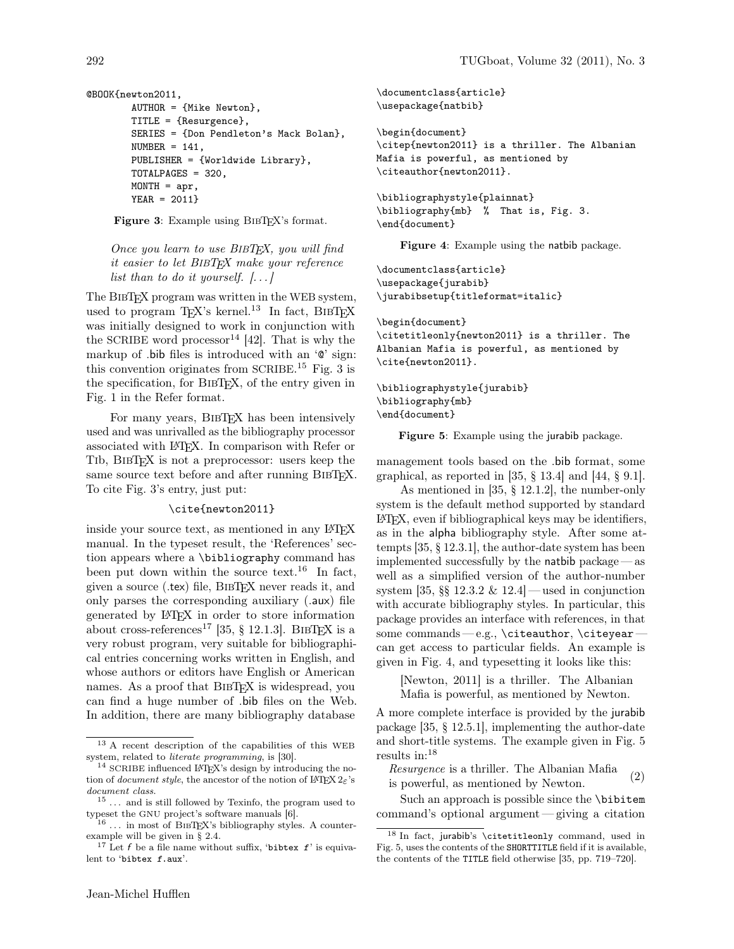```
@BOOK{newton2011,
        AUTHOR = {Mike Newton},
        TITLE = {Resurgence},
        SERIES = {Don Pendleton's Mack Bolan},
        NUMBER = 141,
        PUBLISHER = {Worldwide Library},
        TOTALPAGES = 320,
        MONTH = apr,YEAR = 2011}
```
Figure 3: Example using BIBT<sub>EX</sub>'s format.

Once you learn to use BIBTEX, you will find it easier to let BIBTEX make your reference list than to do it yourself.  $[\ldots]$ 

The BibTEX program was written in the WEB system, used to program T<sub>EX</sub>'s kernel.<sup>13</sup> In fact, BIBTEX was initially designed to work in conjunction with the SCRIBE word processor<sup>14</sup> [42]. That is why the markup of .bib files is introduced with an '@' sign: this convention originates from SCRIBE.<sup>15</sup> Fig. 3 is the specification, for BibTEX, of the entry given in Fig. 1 in the Refer format.

For many years, BIBTFX has been intensively used and was unrivalled as the bibliography processor associated with LATEX. In comparison with Refer or Tib, BibTEX is not a preprocessor: users keep the same source text before and after running BIBTEX. To cite Fig. 3's entry, just put:

#### \cite{newton2011}

inside your source text, as mentioned in any LAT<sub>EX</sub> manual. In the typeset result, the 'References' section appears where a \bibliography command has been put down within the source text.<sup>16</sup> In fact, given a source (.tex) file, BibTEX never reads it, and only parses the corresponding auxiliary (.aux) file generated by LATEX in order to store information about cross-references<sup>17</sup> [35,  $\S$  12.1.3]. BIBTEX is a very robust program, very suitable for bibliographical entries concerning works written in English, and whose authors or editors have English or American names. As a proof that BIBT<sub>F</sub>X is widespread, you can find a huge number of .bib files on the Web. In addition, there are many bibliography database

\begin{document} \citep{newton2011} is a thriller. The Albanian Mafia is powerful, as mentioned by \citeauthor{newton2011}.

```
\bibliographystyle{plainnat}
\bibliography{mb} % That is, Fig. 3.
\end{document}
```
Figure 4: Example using the natbib package.

\documentclass{article} \usepackage{jurabib} \jurabibsetup{titleformat=italic}

```
\begin{document}
\citetitleonly{newton2011} is a thriller. The
Albanian Mafia is powerful, as mentioned by
\cite{newton2011}.
```

```
\bibliographystyle{jurabib}
\bibliography{mb}
\end{document}
```
Figure 5: Example using the jurabib package.

management tools based on the .bib format, some graphical, as reported in [35,  $\S$  13.4] and [44,  $\S$  9.1].

As mentioned in [35, § 12.1.2], the number-only system is the default method supported by standard LATEX, even if bibliographical keys may be identifiers, as in the alpha bibliography style. After some attempts [35, § 12.3.1], the author-date system has been implemented successfully by the natbib package — as well as a simplified version of the author-number system  $[35, \S\S 12.3.2 \& 12.4]$  — used in conjunction with accurate bibliography styles. In particular, this package provides an interface with references, in that some commands - e.g., \citeauthor, \citeyear can get access to particular fields. An example is given in Fig. 4, and typesetting it looks like this:

[Newton, 2011] is a thriller. The Albanian Mafia is powerful, as mentioned by Newton.

A more complete interface is provided by the jurabib package [35, § 12.5.1], implementing the author-date and short-title systems. The example given in Fig. 5 results in:<sup>18</sup>

Resurgence is a thriller. The Albanian Mafia is powerful, as mentioned by Newton.  $(2)$ 

Such an approach is possible since the **\bibitem** command's optional argument— giving a citation

<sup>13</sup> A recent description of the capabilities of this WEB system, related to literate programming, is [30].

<sup>&</sup>lt;sup>14</sup> SCRIBE influenced LAT<sub>E</sub>X's design by introducing the notion of document style, the ancestor of the notion of LATEX  $2\varepsilon$ 's document class.

 $^{15}$   $\ldots\,$  and is still followed by Texinfo, the program used to typeset the GNU project's software manuals [6].

 $16$  ... in most of BIBTEX's bibliography styles. A counterexample will be given in § 2.4.

<sup>&</sup>lt;sup>17</sup> Let f be a file name without suffix, 'bibtex  $f$ ' is equivalent to 'bibtex f.aux'.

<sup>18</sup> In fact, jurabib's \citetitleonly command, used in Fig. 5, uses the contents of the SHORTTITLE field if it is available, the contents of the TITLE field otherwise [35, pp. 719–720].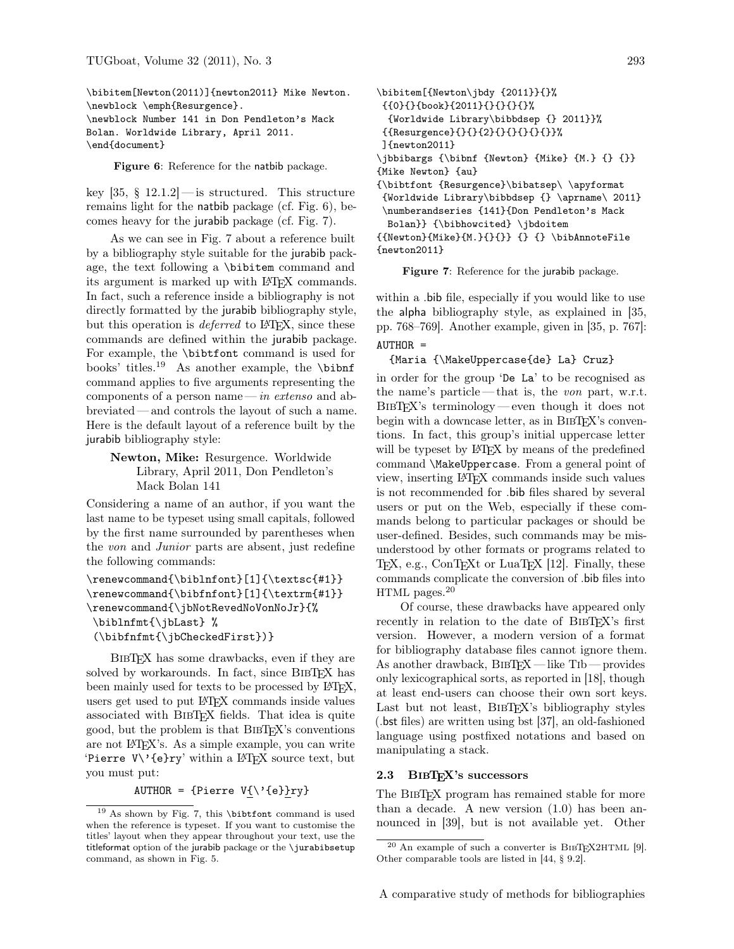\bibitem[Newton(2011)]{newton2011} Mike Newton. \newblock \emph{Resurgence}. \newblock Number 141 in Don Pendleton's Mack Bolan. Worldwide Library, April 2011. \end{document}

Figure 6: Reference for the natbib package.

key  $[35, § 12.1.2]$  — is structured. This structure remains light for the natbib package (cf. Fig. 6), becomes heavy for the jurabib package (cf. Fig. 7).

As we can see in Fig. 7 about a reference built by a bibliography style suitable for the jurabib package, the text following a \bibitem command and its argument is marked up with L<sup>AT</sup>FX commands. In fact, such a reference inside a bibliography is not directly formatted by the jurabib bibliography style, but this operation is *deferred* to L<sup>AT</sup>FX, since these commands are defined within the jurabib package. For example, the \bibtfont command is used for books' titles.<sup>19</sup> As another example, the \bibnf command applies to five arguments representing the components of a person name— in extenso and abbreviated — and controls the layout of such a name. Here is the default layout of a reference built by the jurabib bibliography style:

Newton, Mike: Resurgence. Worldwide Library, April 2011, Don Pendleton's Mack Bolan 141

Considering a name of an author, if you want the last name to be typeset using small capitals, followed by the first name surrounded by parentheses when the von and Junior parts are absent, just redefine the following commands:

```
\renewcommand{\biblnfont}[1]{\textsc{#1}}
\renewcommand{\bibfnfont}[1]{\textrm{#1}}
\renewcommand{\jbNotRevedNoVonNoJr}{%
\biblnfmt{\jbLast} %
 (\bibfnfmt{\jbCheckedFirst})}
```
BibTEX has some drawbacks, even if they are solved by workarounds. In fact, since BIBT<sub>E</sub>X has been mainly used for texts to be processed by LAT<sub>EX</sub>, users get used to put LATEX commands inside values associated with BibTEX fields. That idea is quite good, but the problem is that BibTEX's conventions are not LATEX's. As a simple example, you can write 'Pierre  $V\Upsilon$ '{e}ry' within a LAT<sub>F</sub>X source text, but you must put:

AUTHOR =  ${Pierre V{\\e}ry}$ 

```
\bibitem[{Newton\jbdy {2011}}{}%
{{0}{}{book}{2011}{}{}{}{}%
  {Worldwide Library\bibbdsep {} 2011}}%
{{Resurgence}{}{}{2}{}{}{}{}{}}%
]{newton2011}
\jbbibargs {\bibnf {Newton} {Mike} {M.} {} {}}
{Mike Newton} {au}
{\bibtfont {Resurgence}\bibatsep\ \apyformat
{Worldwide Library\bibbdsep {} \aprname\ 2011}
\numberandseries {141}{Don Pendleton's Mack
 Bolan}} {\bibhowcited} \jbdoitem
{\text{Mike}}{M.{}{} } {\} \bibAnnoteFile{newton2011}
```
Figure 7: Reference for the jurabib package.

within a .bib file, especially if you would like to use the alpha bibliography style, as explained in [35, pp. 768–769]. Another example, given in [35, p. 767]:  $AUTHOR =$ 

#### {Maria {\MakeUppercase{de} La} Cruz}

in order for the group 'De La' to be recognised as the name's particle— that is, the von part, w.r.t. BibTEX's terminology— even though it does not begin with a downcase letter, as in BIBT<sub>EX</sub>'s conventions. In fact, this group's initial uppercase letter will be typeset by LAT<sub>EX</sub> by means of the predefined command \MakeUppercase. From a general point of view, inserting LATEX commands inside such values is not recommended for .bib files shared by several users or put on the Web, especially if these commands belong to particular packages or should be user-defined. Besides, such commands may be misunderstood by other formats or programs related to TEX, e.g., ConTEXt or LuaTEX [12]. Finally, these commands complicate the conversion of .bib files into HTML pages.<sup>20</sup>

Of course, these drawbacks have appeared only recently in relation to the date of BIBT<sub>EX</sub>'s first version. However, a modern version of a format for bibliography database files cannot ignore them. As another drawback, BIBTEX — like TIb — provides only lexicographical sorts, as reported in [18], though at least end-users can choose their own sort keys. Last but not least, BIBTEX's bibliography styles (.bst files) are written using bst [37], an old-fashioned language using postfixed notations and based on manipulating a stack.

#### 2.3 BibTEX's successors

The BIBTEX program has remained stable for more than a decade. A new version (1.0) has been announced in [39], but is not available yet. Other

<sup>19</sup> As shown by Fig. 7, this \bibtfont command is used when the reference is typeset. If you want to customise the titles' layout when they appear throughout your text, use the titleformat option of the jurabib package or the \jurabibsetup command, as shown in Fig. 5.

 $20$  An example of such a converter is BIBTEX2HTML [9]. Other comparable tools are listed in [44, § 9.2].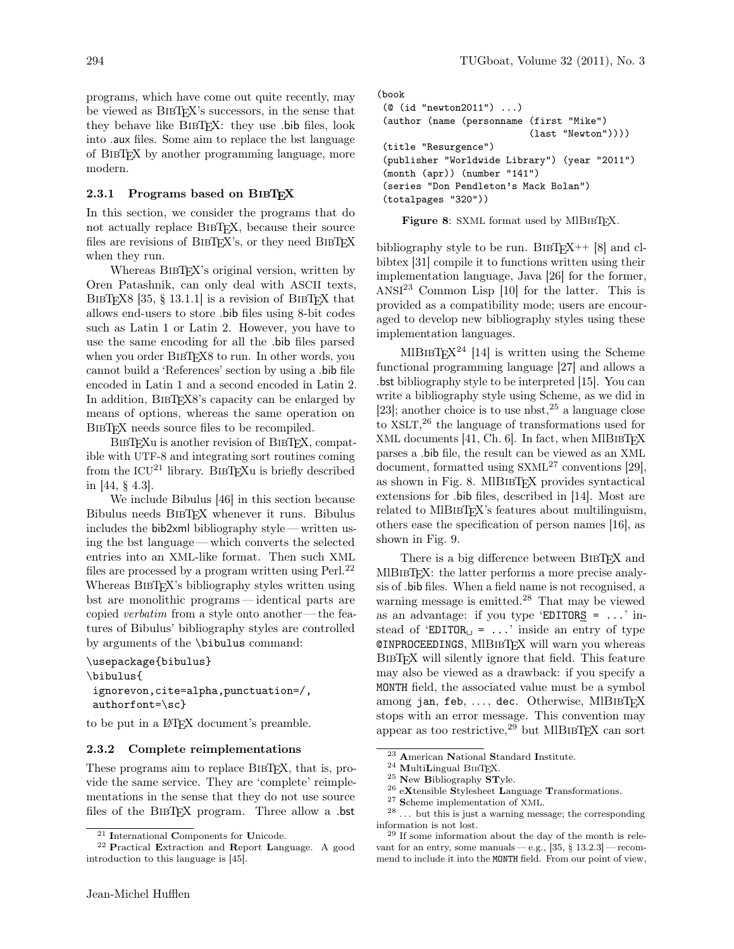programs, which have come out quite recently, may be viewed as BibTEX's successors, in the sense that they behave like BIBTEX: they use .bib files, look into .aux files. Some aim to replace the bst language of BibTEX by another programming language, more modern.

### 2.3.1 Programs based on BIBTEX

In this section, we consider the programs that do not actually replace BIBT<sub>EX</sub>, because their source files are revisions of BIBTEX's, or they need BIBTEX when they run.

Whereas BIBT<sub>E</sub>X's original version, written by Oren Patashnik, can only deal with ASCII texts, BIBTEX8 [35, § 13.1.1] is a revision of BIBTEX that allows end-users to store .bib files using 8-bit codes such as Latin 1 or Latin 2. However, you have to use the same encoding for all the .bib files parsed when you order BIBTEX8 to run. In other words, you cannot build a 'References' section by using a .bib file encoded in Latin 1 and a second encoded in Latin 2. In addition, BibTEX8's capacity can be enlarged by means of options, whereas the same operation on BIBTEX needs source files to be recompiled.

BIBT<sub>EX</sub>u is another revision of BIBT<sub>EX</sub>, compatible with UTF-8 and integrating sort routines coming from the  $ICU^{21}$  library. BIBT<sub>EX</sub>u is briefly described in [44, § 4.3].

We include Bibulus [46] in this section because Bibulus needs BibTEX whenever it runs. Bibulus includes the bib2xml bibliography style — written using the bst language— which converts the selected entries into an XML-like format. Then such XML files are processed by a program written using Perl.<sup>22</sup> Whereas BIBTEX's bibliography styles written using bst are monolithic programs— identical parts are copied *verbatim* from a style onto another — the features of Bibulus' bibliography styles are controlled by arguments of the \bibulus command:

```
\usepackage{bibulus}
\bibulus{
 ignorevon,cite=alpha,punctuation=/,
authorfont=\sc}
```
to be put in a LATEX document's preamble.

# 2.3.2 Complete reimplementations

These programs aim to replace BIBT<sub>EX</sub>, that is, provide the same service. They are 'complete' reimplementations in the sense that they do not use source files of the BIBTEX program. Three allow a .bst

```
(book
 (@ (id "newton2011") ...)
 (author (name (personname (first "Mike")
                            (last "Newton"))))
 (title "Resurgence")
 (publisher "Worldwide Library") (year "2011")
 (month (apr)) (number "141")
 (series "Don Pendleton's Mack Bolan")
 (totalpages "320"))
```
Figure 8: SXML format used by MIBIBT<sub>F</sub>X.

bibliography style to be run. BIBT<sub>E</sub>X<sup>++</sup> [8] and clbibtex [31] compile it to functions written using their implementation language, Java [26] for the former,  $ANSI<sup>23</sup> Common Lisp [10] for the latter. This is$ provided as a compatibility mode; users are encouraged to develop new bibliography styles using these implementation languages.

MlBIBT<sub>E</sub>X<sup>24</sup> [14] is written using the Scheme functional programming language [27] and allows a .bst bibliography style to be interpreted [15]. You can write a bibliography style using Scheme, as we did in [23]; another choice is to use nbst,  $2^5$  a language close to XSLT, <sup>26</sup> the language of transformations used for XML documents [41, Ch. 6]. In fact, when MIBIBTFX parses a .bib file, the result can be viewed as an XML document, formatted using  $SXML^{27}$  conventions [29], as shown in Fig. 8. MIBIBT<sub>F</sub>X provides syntactical extensions for .bib files, described in [14]. Most are related to MIBIBTEX's features about multilinguism, others ease the specification of person names [16], as shown in Fig. 9.

There is a big difference between BIBT<sub>EX</sub> and MIBIBT<sub>EX</sub>: the latter performs a more precise analysis of .bib files. When a field name is not recognised, a warning message is emitted.<sup>28</sup> That may be viewed as an advantage: if you type 'EDITORS =  $\dots$ ' instead of 'EDITOR $\Box$  = ...' inside an entry of type @INPROCEEDINGS, MlBibTEX will warn you whereas BibTEX will silently ignore that field. This feature may also be viewed as a drawback: if you specify a MONTH field, the associated value must be a symbol among jan, feb,  $\dots$ , dec. Otherwise, MIBIBTFX stops with an error message. This convention may appear as too restrictive,  $29$  but MlBIBT<sub>EX</sub> can sort

<sup>21</sup> International Components for Unicode.

<sup>22</sup> Practical Extraction and Report Language. A good introduction to this language is [45].

<sup>23</sup> American National Standard Institute.

 $24$  MultiLingual BIBT<sub>E</sub>X.

 $25$  New Bibliography STyle.

 $^{26}$  eXtensible Stylesheet Language Transformations.

<sup>27</sup> Scheme implementation of XML.

 $28$  ... but this is just a warning message; the corresponding information is not lost.

<sup>29</sup> If some information about the day of the month is relevant for an entry, some manuals — e.g.,  $[35, § 13.2.3]$  — recommend to include it into the MONTH field. From our point of view,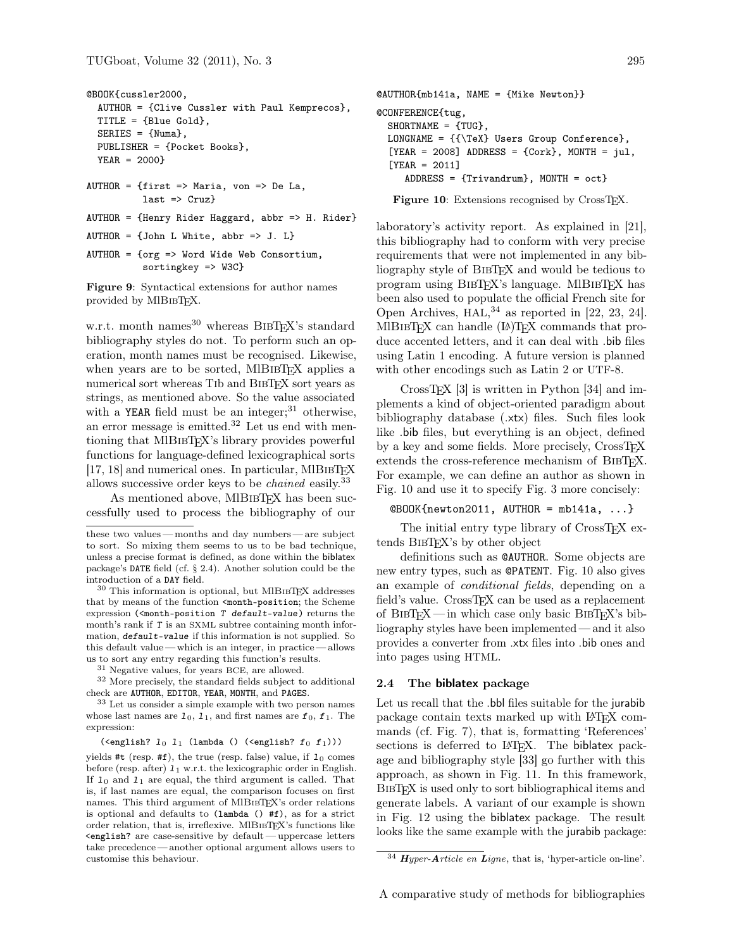```
@BOOK{cussler2000,
  AUTHOR = {Clive Cussler with Paul Kemprecos},
 TITLE = {Blue Gold},
 SERIES = {Numa},
 PUBLISHER = {Pocket Books},
 YEAR = 2000}
AUTHOR = {first => Maria, von => De La,
          last => Cruz}
AUTHOR = {Henry Rider Haggard, abbr => H. Rider}
```
 $AUTHOR = \{John L White, abbr \Rightarrow J. L\}$ 

AUTHOR = {org => Word Wide Web Consortium, sortingkey => W3C}

Figure 9: Syntactical extensions for author names provided by MIBIBTEX.

w.r.t. month names <sup>30</sup> whereas BIBT<sub>EX</sub>'s standard bibliography styles do not. To perform such an operation, month names must be recognised. Likewise, when years are to be sorted, MIBIBTEX applies a numerical sort whereas Tib and BibTEX sort years as strings, as mentioned above. So the value associated with a YEAR field must be an integer;  $31$  otherwise, an error message is emitted.<sup>32</sup> Let us end with mentioning that MIBIBTEX's library provides powerful functions for language-defined lexicographical sorts  $[17, 18]$  and numerical ones. In particular, MIBIBT<sub>EX</sub> allows successive order keys to be chained easily.<sup>33</sup>

As mentioned above, MIBIBTEX has been successfully used to process the bibliography of our

<sup>31</sup> Negative values, for years BCE, are allowed.

<sup>32</sup> More precisely, the standard fields subject to additional check are AUTHOR, EDITOR, YEAR, MONTH, and PAGES.

<sup>33</sup> Let us consider a simple example with two person names whose last names are  $1_0$ ,  $1_1$ , and first names are  $f_0$ ,  $f_1$ . The expression:

```
\label{eq:concl} \begin{array}{l} \text{(<end is}\  \, \text{if}\  \, l_0\;\;l_1\;\; \text{(lambda}\;\;(\text{<end is}\  \, \text{if}\;l_0\;\;f_1\text{)}))\\
```
yields #t (resp. #f), the true (resp. false) value, if  $1_0$  comes before (resp. after)  $1<sub>1</sub>$  w.r.t. the lexicographic order in English. If  $1_0$  and  $1_1$  are equal, the third argument is called. That is, if last names are equal, the comparison focuses on first names. This third argument of MIBIBTEX's order relations is optional and defaults to (lambda () #f), as for a strict order relation, that is, irreflexive. MlBibTEX's functions like <english? are case-sensitive by default— uppercase letters take precedence — another optional argument allows users to customise this behaviour.

```
@AUTHOR{mb141a, NAME = {Mike Newton}}
@CONFERENCE{tug,
 SHORTNAME = {TUG},
 LONGNAME = {\{\Tilde{\}} Users Group Conference},
  [YEAR = 2008] ADDRESS = {Cork}, MONTH = jul,
  [YEAR = 2011]
     ADDRESS = {Trivandrum}, MONTH = oct}
```
Figure 10: Extensions recognised by CrossT<sub>E</sub>X.

laboratory's activity report. As explained in [21], this bibliography had to conform with very precise requirements that were not implemented in any bibliography style of BibTEX and would be tedious to program using BIBT<sub>EX</sub>'s language. MIBIBT<sub>EX</sub> has been also used to populate the official French site for Open Archives, HAL, <sup>34</sup> as reported in [22, 23, 24]. MIBIBTEX can handle (LA)TEX commands that produce accented letters, and it can deal with .bib files using Latin 1 encoding. A future version is planned with other encodings such as Latin 2 or UTF-8.

CrossTEX [3] is written in Python [34] and implements a kind of object-oriented paradigm about bibliography database (.xtx) files. Such files look like .bib files, but everything is an object, defined by a key and some fields. More precisely, CrossTEX extends the cross-reference mechanism of BIBTFX. For example, we can define an author as shown in Fig. 10 and use it to specify Fig. 3 more concisely:

 $@B00K{nevton2011}$ , AUTHOR = mb141a, ...}

The initial entry type library of CrossTEX extends BibTEX's by other object

definitions such as @AUTHOR. Some objects are new entry types, such as @PATENT. Fig. 10 also gives an example of conditional fields, depending on a field's value. CrossTEX can be used as a replacement of BibTEX — in which case only basic BibTEX's bibliography styles have been implemented — and it also provides a converter from .xtx files into .bib ones and into pages using HTML.

## 2.4 The biblatex package

Let us recall that the .bbl files suitable for the jurabib package contain texts marked up with LATEX commands (cf. Fig. 7), that is, formatting 'References' sections is deferred to LAT<sub>EX</sub>. The biblatex package and bibliography style [33] go further with this approach, as shown in Fig. 11. In this framework, BIBT<sub>EX</sub> is used only to sort bibliographical items and generate labels. A variant of our example is shown in Fig. 12 using the biblatex package. The result looks like the same example with the jurabib package:

these two values— months and day numbers— are subject to sort. So mixing them seems to us to be bad technique, unless a precise format is defined, as done within the biblatex package's DATE field (cf. § 2.4). Another solution could be the introduction of a DAY field.

 $30$  This information is optional, but MlBIBTEX addresses that by means of the function <month-position; the Scheme expression (<month-position T default-value) returns the month's rank if T is an SXML subtree containing month information, default-value if this information is not supplied. So this default value— which is an integer, in practice— allows us to sort any entry regarding this function's results.

 $34$  Hyper-Article en Ligne, that is, 'hyper-article on-line'.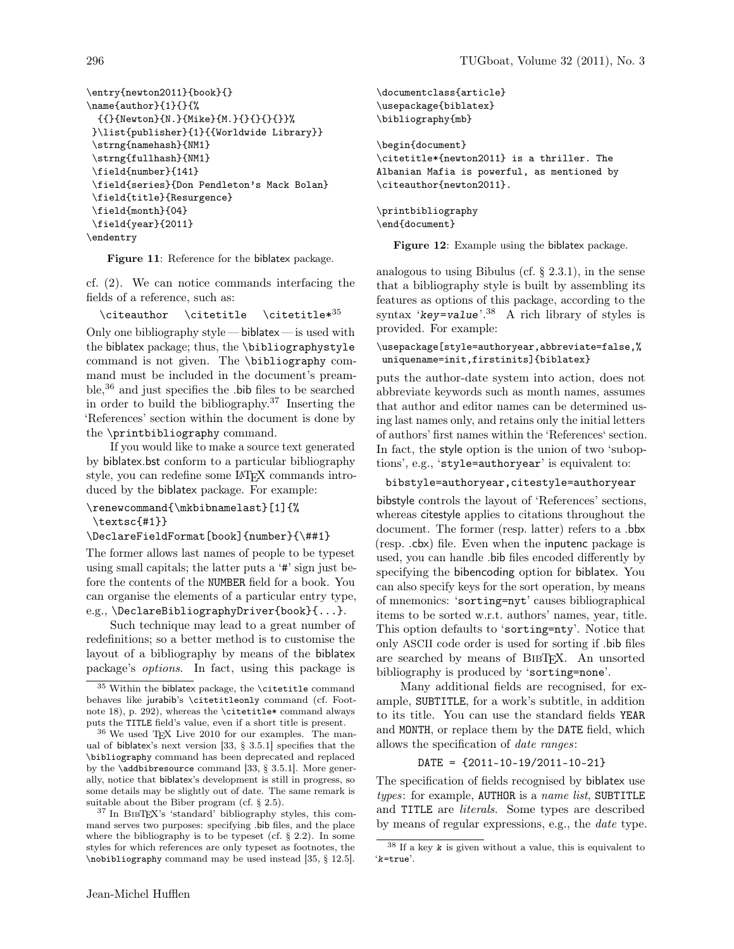\entry{newton2011}{book}{}  $\name{author}{1}{}$ {{{}{Newton}{N.}{Mike}{M.}{}{}{}{}}% }\list{publisher}{1}{{Worldwide Library}} \strng{namehash}{NM1} \strng{fullhash}{NM1} \field{number}{141} \field{series}{Don Pendleton's Mack Bolan} \field{title}{Resurgence} \field{month}{04} \field{year}{2011} \endentry

Figure 11: Reference for the biblatex package.

cf. (2). We can notice commands interfacing the fields of a reference, such as:

 $\cite author \citetitle \citetitle*35$ 

Only one bibliography style — biblatex — is used with the biblatex package; thus, the \bibliographystyle command is not given. The \bibliography command must be included in the document's preamble,<sup>36</sup> and just specifies the .bib files to be searched in order to build the bibliography.<sup>37</sup> Inserting the 'References' section within the document is done by the \printbibliography command.

If you would like to make a source text generated by biblatex.bst conform to a particular bibliography style, you can redefine some LAT<sub>EX</sub> commands introduced by the biblatex package. For example:

\renewcommand{\mkbibnamelast}[1]{%

\textsc{#1}}

\DeclareFieldFormat[book]{number}{\##1}

The former allows last names of people to be typeset using small capitals; the latter puts a '#' sign just before the contents of the NUMBER field for a book. You can organise the elements of a particular entry type, e.g., \DeclareBibliographyDriver{book}{...}.

Such technique may lead to a great number of redefinitions; so a better method is to customise the layout of a bibliography by means of the biblatex package's options. In fact, using this package is

<sup>37</sup> In BIBT<sub>EX</sub>'s 'standard' bibliography styles, this command serves two purposes: specifying .bib files, and the place where the bibliography is to be typeset (cf. § 2.2). In some styles for which references are only typeset as footnotes, the \nobibliography command may be used instead [35, § 12.5].

```
\documentclass{article}
\usepackage{biblatex}
\bibliography{mb}
\begin{document}
\citetitle*{newton2011} is a thriller. The
Albanian Mafia is powerful, as mentioned by
\citeauthor{newton2011}.
\printbibliography
```
\end{document}

Figure 12: Example using the biblatex package.

analogous to using Bibulus (cf.  $\S$  2.3.1), in the sense that a bibliography style is built by assembling its features as options of this package, according to the syntax ' $key = value$ '.<sup>38</sup> A rich library of styles is provided. For example:

## \usepackage[style=authoryear,abbreviate=false,% uniquename=init,firstinits]{biblatex}

puts the author-date system into action, does not abbreviate keywords such as month names, assumes that author and editor names can be determined using last names only, and retains only the initial letters of authors' first names within the 'References' section. In fact, the style option is the union of two 'suboptions', e.g., 'style=authoryear' is equivalent to:

#### bibstyle=authoryear,citestyle=authoryear

bibstyle controls the layout of 'References' sections, whereas citestyle applies to citations throughout the document. The former (resp. latter) refers to a .bbx (resp. .cbx) file. Even when the inputenc package is used, you can handle .bib files encoded differently by specifying the bibencoding option for biblatex. You can also specify keys for the sort operation, by means of mnemonics: 'sorting=nyt' causes bibliographical items to be sorted w.r.t. authors' names, year, title. This option defaults to 'sorting=nty'. Notice that only ASCII code order is used for sorting if .bib files are searched by means of BibTEX. An unsorted bibliography is produced by 'sorting=none'.

Many additional fields are recognised, for example, SUBTITLE, for a work's subtitle, in addition to its title. You can use the standard fields YEAR and MONTH, or replace them by the DATE field, which allows the specification of date ranges:

#### DATE = {2011-10-19/2011-10-21}

The specification of fields recognised by biblatex use  $types:$  for example, AUTHOR is a name list, SUBTITLE and TITLE are literals. Some types are described by means of regular expressions, e.g., the date type.

 $^{35}$  Within the biblatex package, the \citetitle command behaves like jurabib's \citetitleonly command (cf. Footnote 18), p. 292), whereas the \citetitle\* command always puts the TITLE field's value, even if a short title is present.

 $^{36}$  We used TEX Live 2010 for our examples. The manual of biblatex's next version [33, § 3.5.1] specifies that the \bibliography command has been deprecated and replaced by the \addbibresource command [33, § 3.5.1]. More generally, notice that biblatex's development is still in progress, so some details may be slightly out of date. The same remark is suitable about the Biber program (cf. § 2.5).

 $^{38}$  If a key  $\boldsymbol{k}$  is given without a value, this is equivalent to 'k=true'.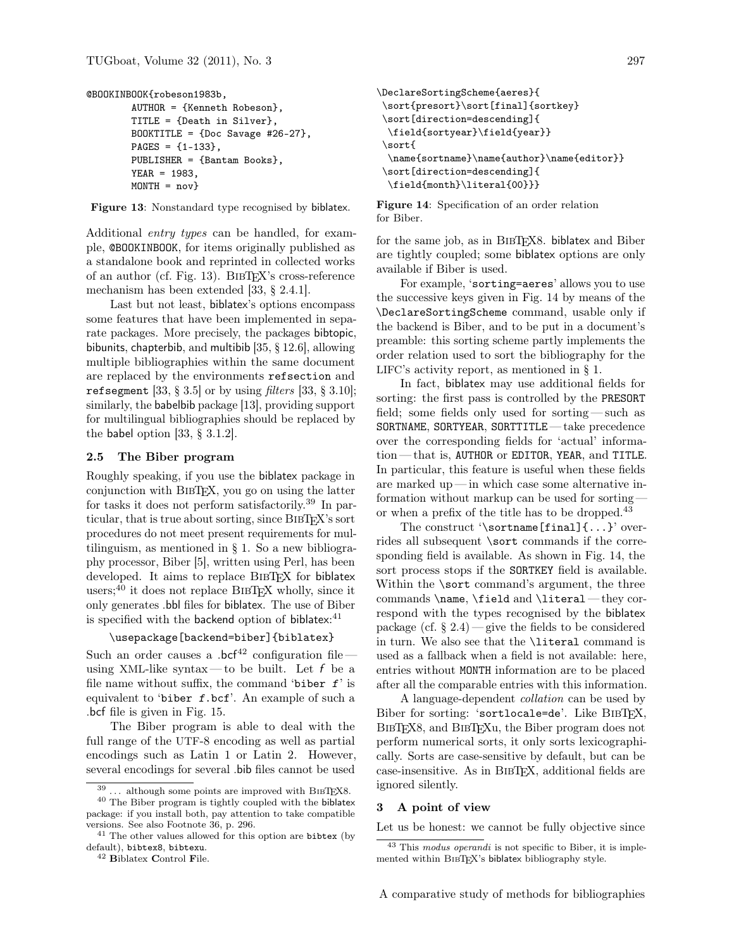```
@BOOKINBOOK{robeson1983b,
```

```
AUTHOR = {Kenneth Robeson},
TITLE = {Death in Silver},
BOOKTITLE = {Doc\, Savage\#26-27},PAGES = {1-133},
PUBLISHER = {Bantam Books},
YEAR = 1983,
MONTH = nov}
```
Figure 13: Nonstandard type recognised by biblatex.

Additional entry types can be handled, for example, @BOOKINBOOK, for items originally published as a standalone book and reprinted in collected works of an author (cf. Fig. 13). BibTEX's cross-reference mechanism has been extended [33, § 2.4.1].

Last but not least, biblatex's options encompass some features that have been implemented in separate packages. More precisely, the packages bibtopic, bibunits, chapterbib, and multibib [35, § 12.6], allowing multiple bibliographies within the same document are replaced by the environments refsection and refsegment [33,  $\S 3.5$ ] or by using filters [33,  $\S 3.10$ ]; similarly, the babelbib package [13], providing support for multilingual bibliographies should be replaced by the babel option [33, § 3.1.2].

#### 2.5 The Biber program

Roughly speaking, if you use the biblatex package in conjunction with BibTEX, you go on using the latter for tasks it does not perform satisfactorily.<sup>39</sup> In particular, that is true about sorting, since BIBT<sub>EX</sub>'s sort procedures do not meet present requirements for multilinguism, as mentioned in  $\S$  1. So a new bibliography processor, Biber [5], written using Perl, has been developed. It aims to replace BIBTFX for biblatex users;<sup>40</sup> it does not replace BIBT<sub>EX</sub> wholly, since it only generates .bbl files for biblatex. The use of Biber is specified with the backend option of biblatex:<sup>41</sup>

# \usepackage[backend=biber]{biblatex}

Such an order causes a .bcf<sup>42</sup> configuration file using XML-like syntax—to be built. Let  $f$  be a file name without suffix, the command 'biber  $f$ ' is equivalent to 'biber f.bcf'. An example of such a .bcf file is given in Fig. 15.

The Biber program is able to deal with the full range of the UTF-8 encoding as well as partial encodings such as Latin 1 or Latin 2. However, several encodings for several .bib files cannot be used

```
\DeclareSortingScheme{aeres}{
\sort{presort}\sort[final]{sortkey}
\sort[direction=descending]{
 \field{sortyear}\field{year}}
\sort{
  \name{sortname}\name{author}\name{editor}}
\sort[direction=descending]{
 \field{month}\literal{00}}}
```
Figure 14: Specification of an order relation for Biber.

for the same job, as in BIBT<sub>EX8</sub>. biblatex and Biber are tightly coupled; some biblatex options are only available if Biber is used.

For example, 'sorting=aeres' allows you to use the successive keys given in Fig. 14 by means of the \DeclareSortingScheme command, usable only if the backend is Biber, and to be put in a document's preamble: this sorting scheme partly implements the order relation used to sort the bibliography for the LIFC's activity report, as mentioned in § 1.

In fact, biblatex may use additional fields for sorting: the first pass is controlled by the PRESORT field; some fields only used for sorting— such as SORTNAME, SORTYEAR, SORTTITLE — take precedence over the corresponding fields for 'actual' information— that is, AUTHOR or EDITOR, YEAR, and TITLE. In particular, this feature is useful when these fields are marked up— in which case some alternative information without markup can be used for sorting or when a prefix of the title has to be dropped.<sup>43</sup>

The construct '\sortname[final]{...}' overrides all subsequent \sort commands if the corresponding field is available. As shown in Fig. 14, the sort process stops if the SORTKEY field is available. Within the \sort command's argument, the three commands \name, \field and \literal — they correspond with the types recognised by the biblatex package (cf.  $\S 2.4$ ) — give the fields to be considered in turn. We also see that the \literal command is used as a fallback when a field is not available: here, entries without MONTH information are to be placed after all the comparable entries with this information.

A language-dependent collation can be used by Biber for sorting: 'sortlocale=de'. Like BIBTFX, BIBT<sub>EX8</sub>, and BIBT<sub>EXu</sub>, the Biber program does not perform numerical sorts, it only sorts lexicographically. Sorts are case-sensitive by default, but can be case-insensitive. As in BibTEX, additional fields are ignored silently.

#### 3 A point of view

Let us be honest: we cannot be fully objective since

 $39...$  although some points are improved with BIBTEX8.

<sup>40</sup> The Biber program is tightly coupled with the biblatex package: if you install both, pay attention to take compatible versions. See also Footnote 36, p. 296.

<sup>&</sup>lt;sup>41</sup> The other values allowed for this option are bibtex (by default), bibtex8, bibtexu.

<sup>42</sup> Biblatex Control File.

<sup>43</sup> This modus operandi is not specific to Biber, it is implemented within BIBTEX's biblatex bibliography style.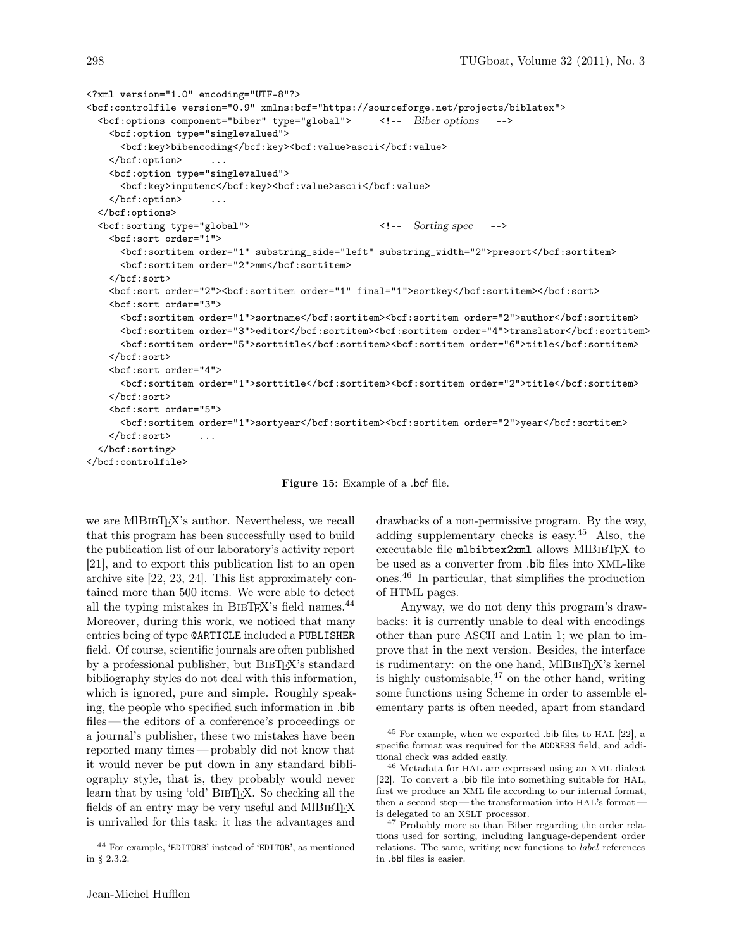```
<?xml version="1.0" encoding="UTF-8"?>
<bcf:controlfile version="0.9" xmlns:bcf="https://sourceforge.net/projects/biblatex">
  <bcf:options component="biber" type="global"> <!-- Biber options -->
    <bcf:option type="singlevalued">
     <bcf:key>bibencoding</bcf:key><bcf:value>ascii</bcf:value>
   </bcf:option> ...
   <bcf:option type="singlevalued">
     <bcf:key>inputenc</bcf:key><bcf:value>ascii</bcf:value>
    </bcf:option> ...
  </bcf:options>
  <bcf:sorting type="global"> <!-- Sorting spec -->
    <bcf:sort order="1">
     <bcf:sortitem order="1" substring_side="left" substring_width="2">presort</bcf:sortitem>
     <bcf:sortitem order="2">mm</bcf:sortitem>
    </bcf:sort>
    <bcf:sort order="2"><bcf:sortitem order="1" final="1">sortkey</bcf:sortitem></bcf:sort>
    <bcf:sort order="3">
     <br/>bcf:sortitem order="1">sortname</bcf:sortitem><br/>cf:sortitem order="2">author</bcf:sortitem>
     <bcf:sortitem order="3">editor</bcf:sortitem><br/>cf:sortitem order="4">translator</bcf:sortitem>
     <bcf:sortitem order="5">sorttitle</bcf:sortitem><bcf:sortitem order="6">title</bcf:sortitem>
    </bcf:sort>
    <bcf:sort order="4">
     <bcf:sortitem order="1">sorttitle</bcf:sortitem><bcf:sortitem order="2">title</bcf:sortitem>
   </bcf:sort>
    <bcf:sort order="5">
     <bcf:sortitem order="1">sortyear</bcf:sortitem><bcf:sortitem order="2">year</bcf:sortitem>
    \langlebcf:sort>
  </bcf:sorting>
</bcf:controlfile>
```
Figure 15: Example of a .bcf file.

we are MIBIBTEX's author. Nevertheless, we recall that this program has been successfully used to build the publication list of our laboratory's activity report [21], and to export this publication list to an open archive site [22, 23, 24]. This list approximately contained more than 500 items. We were able to detect all the typing mistakes in BIBTEX's field names. $^{44}$ Moreover, during this work, we noticed that many entries being of type @ARTICLE included a PUBLISHER field. Of course, scientific journals are often published by a professional publisher, but BIBTFX's standard bibliography styles do not deal with this information, which is ignored, pure and simple. Roughly speaking, the people who specified such information in .bib files— the editors of a conference's proceedings or a journal's publisher, these two mistakes have been reported many times — probably did not know that it would never be put down in any standard bibliography style, that is, they probably would never learn that by using 'old' BIBT<sub>EX</sub>. So checking all the fields of an entry may be very useful and MIBIBTEX is unrivalled for this task: it has the advantages and drawbacks of a non-permissive program. By the way, adding supplementary checks is easy.<sup>45</sup> Also, the executable file mlbibtex2xml allows MlBIBTEX to be used as a converter from .bib files into XML-like ones.<sup>46</sup> In particular, that simplifies the production of HTML pages.

Anyway, we do not deny this program's drawbacks: it is currently unable to deal with encodings other than pure ASCII and Latin 1; we plan to improve that in the next version. Besides, the interface is rudimentary: on the one hand, MIBIBTFX's kernel is highly customisable,  $47$  on the other hand, writing some functions using Scheme in order to assemble elementary parts is often needed, apart from standard

<sup>44</sup> For example, 'EDITORS' instead of 'EDITOR', as mentioned in § 2.3.2.

<sup>45</sup> For example, when we exported .bib files to HAL [22], a specific format was required for the ADDRESS field, and additional check was added easily.

<sup>46</sup> Metadata for HAL are expressed using an XML dialect [22]. To convert a .bib file into something suitable for HAL, first we produce an XML file according to our internal format, then a second step — the transformation into  $HAL's$  format – is delegated to an XSLT processor.

<sup>47</sup> Probably more so than Biber regarding the order relations used for sorting, including language-dependent order relations. The same, writing new functions to label references in .bbl files is easier.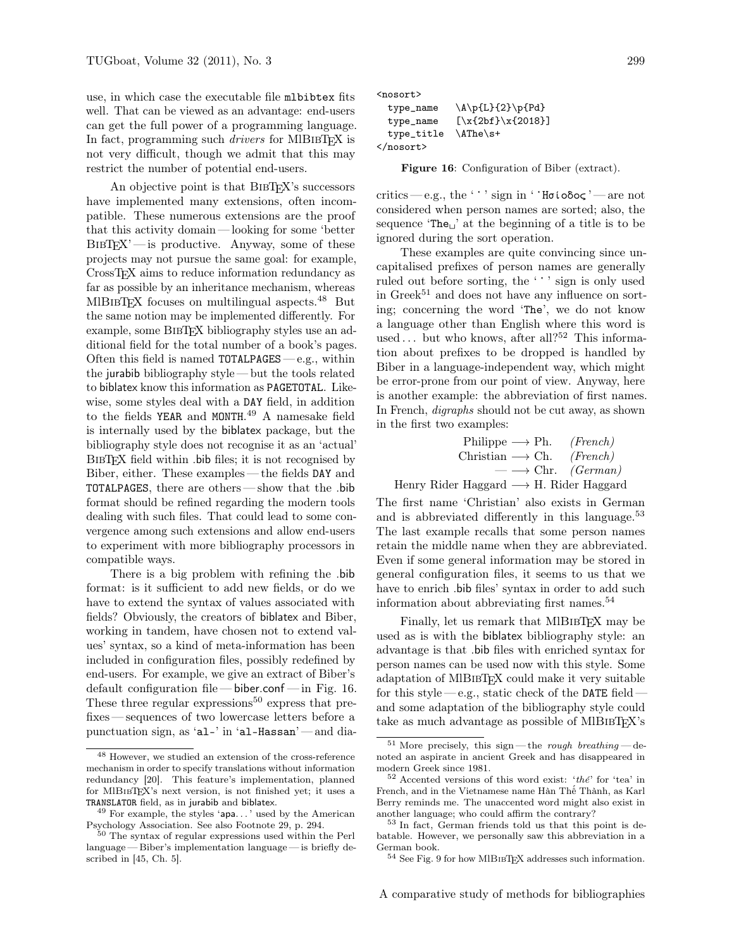use, in which case the executable file mlbibtex fits well. That can be viewed as an advantage: end-users can get the full power of a programming language. In fact, programming such *drivers* for MIBIBTFX is not very difficult, though we admit that this may restrict the number of potential end-users.

An objective point is that BIBTEX's successors have implemented many extensions, often incompatible. These numerous extensions are the proof that this activity domain — looking for some 'better  $BIBTFX'$  — is productive. Anyway, some of these projects may not pursue the same goal: for example, CrossTEX aims to reduce information redundancy as far as possible by an inheritance mechanism, whereas MIBIBTEX focuses on multilingual aspects.<sup>48</sup> But the same notion may be implemented differently. For example, some BIBTEX bibliography styles use an additional field for the total number of a book's pages. Often this field is named  $TOTALPAGES - e.g., within$ the jurabib bibliography style — but the tools related to biblatex know this information as PAGETOTAL. Likewise, some styles deal with a DAY field, in addition to the fields YEAR and MONTH. <sup>49</sup> A namesake field is internally used by the biblatex package, but the bibliography style does not recognise it as an 'actual' BibTEX field within .bib files; it is not recognised by Biber, either. These examples— the fields DAY and TOTALPAGES, there are others— show that the .bib format should be refined regarding the modern tools dealing with such files. That could lead to some convergence among such extensions and allow end-users to experiment with more bibliography processors in compatible ways.

There is a big problem with refining the .bib format: is it sufficient to add new fields, or do we have to extend the syntax of values associated with fields? Obviously, the creators of biblatex and Biber, working in tandem, have chosen not to extend values' syntax, so a kind of meta-information has been included in configuration files, possibly redefined by end-users. For example, we give an extract of Biber's default configuration file— biber.conf — in Fig. 16. These three regular expressions<sup>50</sup> express that prefixes— sequences of two lowercase letters before a punctuation sign, as 'al-' in 'al-Hassan' — and dia<nosort>

| type_name  | $\Lambda\pfL}{2}\pfPd}$ |
|------------|-------------------------|
| type_name  | $[\x{2bf}\x{2018}]$     |
| type_title | $\Lambda$ The $\s +$    |
|            |                         |

Figure 16: Configuration of Biber (extract).

critics—e.g., the ''' sign in '' $H\sigma$ ίοδος'—are not considered when person names are sorted; also, the sequence 'The $\mathbf{u}'$  at the beginning of a title is to be ignored during the sort operation.

These examples are quite convincing since uncapitalised prefixes of person names are generally ruled out before sorting, the '' sign is only used in  $Greek<sup>51</sup>$  and does not have any influence on sorting; concerning the word 'The', we do not know a language other than English where this word is used  $\ldots$  but who knows, after all?<sup>52</sup> This information about prefixes to be dropped is handled by Biber in a language-independent way, which might be error-prone from our point of view. Anyway, here is another example: the abbreviation of first names. In French, *digraphs* should not be cut away, as shown in the first two examples:

$$
\begin{array}{ccc}\n\text{Philippe} \longrightarrow \text{Ph.} & (French) \\
\text{Christian} \longrightarrow \text{Ch.} & (French) \\
\longrightarrow \text{Chr.} & (German)\n\end{array}
$$

Henry Rider Haggard −→ H. Rider Haggard

The first name 'Christian' also exists in German and is abbreviated differently in this language.<sup>53</sup> The last example recalls that some person names retain the middle name when they are abbreviated. Even if some general information may be stored in general configuration files, it seems to us that we have to enrich .bib files' syntax in order to add such information about abbreviating first names.<sup>54</sup>

Finally, let us remark that MIBIBTFX may be used as is with the biblatex bibliography style: an advantage is that .bib files with enriched syntax for person names can be used now with this style. Some adaptation of MlBibTEX could make it very suitable for this style—e.g., static check of the DATE fieldand some adaptation of the bibliography style could take as much advantage as possible of MIBIBT<sub>EX</sub>'s

<sup>48</sup> However, we studied an extension of the cross-reference mechanism in order to specify translations without information redundancy [20]. This feature's implementation, planned for MlBibTEX's next version, is not finished yet; it uses a TRANSLATOR field, as in jurabib and biblatex.

 $49$  For example, the styles 'apa...' used by the American Psychology Association. See also Footnote 29, p. 294.

The syntax of regular expressions used within the Perl language— Biber's implementation language— is briefly described in [45, Ch. 5].

 $51$  More precisely, this sign—the rough breathing — denoted an aspirate in ancient Greek and has disappeared in modern Greek since 1981.

 $52$  Accented versions of this word exist: 'the' for 'tea' in French, and in the Vietnamese name Hàn Thê´ Thành, as Karl Berry reminds me. The unaccented word might also exist in another language; who could affirm the contrary?

<sup>53</sup> In fact, German friends told us that this point is debatable. However, we personally saw this abbreviation in a German book.

 $^{54}$  See Fig. 9 for how MlB1<br>sTEX addresses such information.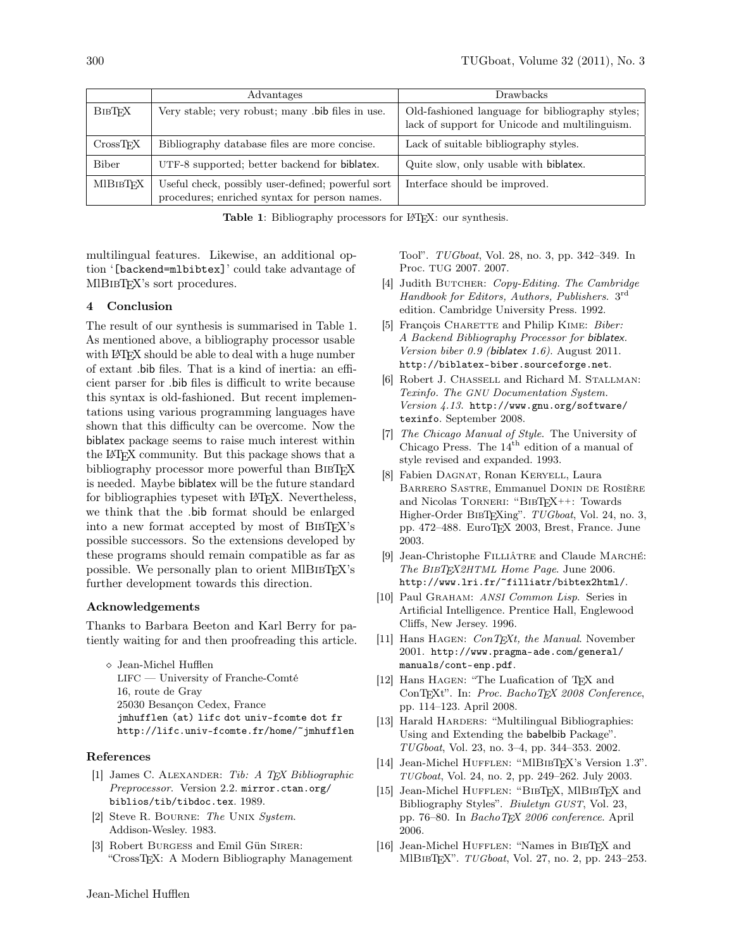|                 | Advantages                                                                                          | <b>Drawbacks</b>                                                                                  |
|-----------------|-----------------------------------------------------------------------------------------------------|---------------------------------------------------------------------------------------------------|
| <b>BIBTFX</b>   | Very stable; very robust; many .bib files in use.                                                   | Old-fashioned language for bibliography styles;<br>lack of support for Unicode and multilinguism. |
| CrossTrX        | Bibliography database files are more concise.                                                       | Lack of suitable bibliography styles.                                                             |
| Biber           | UTF-8 supported; better backend for biblatex.                                                       | Quite slow, only usable with biblatex.                                                            |
| <b>MIBIBTEX</b> | Useful check, possibly user-defined; powerful sort<br>procedures; enriched syntax for person names. | Interface should be improved.                                                                     |

Table 1: Bibliography processors for L<sup>AT</sup>EX: our synthesis.

multilingual features. Likewise, an additional option '[backend=mlbibtex]' could take advantage of MIBIBTEX's sort procedures.

## 4 Conclusion

The result of our synthesis is summarised in Table 1. As mentioned above, a bibliography processor usable with LAT<sub>EX</sub> should be able to deal with a huge number of extant .bib files. That is a kind of inertia: an efficient parser for .bib files is difficult to write because this syntax is old-fashioned. But recent implementations using various programming languages have shown that this difficulty can be overcome. Now the biblatex package seems to raise much interest within the LATEX community. But this package shows that a bibliography processor more powerful than BIBTFX is needed. Maybe biblatex will be the future standard for bibliographies typeset with LAT<sub>EX</sub>. Nevertheless, we think that the .bib format should be enlarged into a new format accepted by most of BibTEX's possible successors. So the extensions developed by these programs should remain compatible as far as possible. We personally plan to orient MIBIBT<sub>EX</sub>'s further development towards this direction.

### Acknowledgements

Thanks to Barbara Beeton and Karl Berry for patiently waiting for and then proofreading this article.

 $\diamond$ Jean-Michel Hufflen LIFC — University of Franche-Comté 16, route de Gray 25030 Besançon Cedex, France jmhufflen (at) lifc dot univ-fcomte dot fr http://lifc.univ-fcomte.fr/home/~jmhufflen

### References

- [1] James C. ALEXANDER: Tib: A TFX Bibliographic Preprocessor. Version 2.2. mirror.ctan.org/ biblios/tib/tibdoc.tex. 1989.
- [2] Steve R. Bourne: The Unix System. Addison-Wesley. 1983.
- [3] Robert Burgess and Emil Gün Sirer: "CrossTEX: A Modern Bibliography Management

Tool". TUGboat, Vol. 28, no. 3, pp. 342–349. In Proc. TUG 2007. 2007.

- [4] Judith BUTCHER: Copy-Editing. The Cambridge Handbook for Editors, Authors, Publishers. 3rd edition. Cambridge University Press. 1992.
- [5] François CHARETTE and Philip KIME: Biber: A Backend Bibliography Processor for biblatex. Version biber 0.9 (biblatex 1.6). August 2011. http://biblatex-biber.sourceforge.net.
- [6] Robert J. CHASSELL and Richard M. STALLMAN: Texinfo. The GNU Documentation System. Version 4.13. http://www.gnu.org/software/ texinfo. September 2008.
- [7] The Chicago Manual of Style. The University of Chicago Press. The  $14<sup>th</sup>$  edition of a manual of style revised and expanded. 1993.
- [8] Fabien Dagnat, Ronan Keryell, Laura Barrero Sastre, Emmanuel Donin de Rosière and Nicolas Torneri: "BibTEX++: Towards Higher-Order BIBTEXing". TUGboat, Vol. 24, no. 3, pp. 472–488. EuroTEX 2003, Brest, France. June 2003.
- [9] Jean-Christophe FILLIÂTRE and Claude MARCHÉ: The BIBTFX2HTML Home Page. June 2006. http://www.lri.fr/~filliatr/bibtex2html/.
- [10] Paul GRAHAM: ANSI Common Lisp. Series in Artificial Intelligence. Prentice Hall, Englewood Cliffs, New Jersey. 1996.
- [11] Hans HAGEN:  $ConT<sub>E</sub>xt$ , the Manual. November 2001. http://www.pragma-ade.com/general/ manuals/cont-enp.pdf.
- [12] Hans HAGEN: "The Luafication of T<sub>F</sub>X and ConTEXt". In: Proc. BachoTEX 2008 Conference, pp. 114–123. April 2008.
- [13] Harald HARDERS: "Multilingual Bibliographies: Using and Extending the babelbib Package". TUGboat, Vol. 23, no. 3–4, pp. 344–353. 2002.
- [14] Jean-Michel HUFFLEN: "MlBIBTFX's Version 1.3". TUGboat, Vol. 24, no. 2, pp. 249–262. July 2003.
- [15] Jean-Michel HUFFLEN: "BIBTEX, MIBIBTEX and Bibliography Styles". Biuletyn GUST, Vol. 23, pp. 76–80. In BachoTEX 2006 conference. April 2006.
- [16] Jean-Michel HUFFLEN: "Names in BIBTFX and MlBibTEX". TUGboat, Vol. 27, no. 2, pp. 243–253.